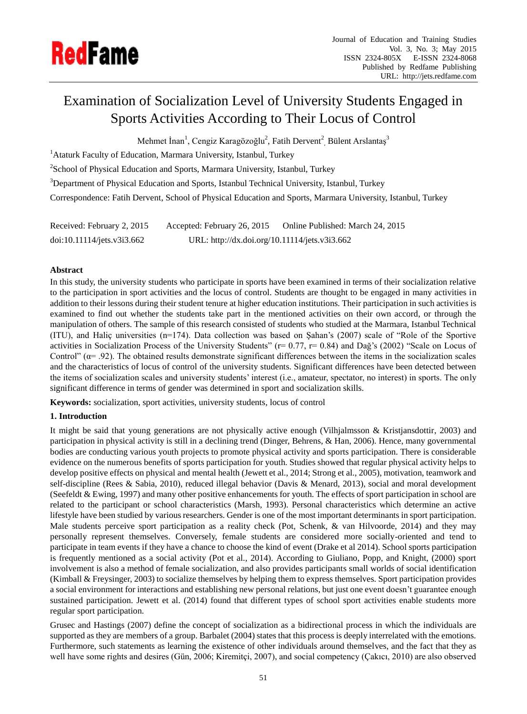

# Examination of Socialization Level of University Students Engaged in Sports Activities According to Their Locus of Control

Mehmet İnan<sup>1</sup>, Cengiz Karagözoğlu<sup>2</sup>, Fatih Dervent<sup>2</sup><sub>,</sub> B ülent Arslantaş<sup>3</sup>

<sup>1</sup> Ataturk Faculty of Education, Marmara University, Istanbul, Turkey

 $2$ School of Physical Education and Sports, Marmara University, Istanbul, Turkey

<sup>3</sup>Department of Physical Education and Sports, Istanbul Technical University, Istanbul, Turkey

Correspondence: Fatih Dervent, School of Physical Education and Sports, Marmara University, Istanbul, Turkey

Received: February 2, 2015 Accepted: February 26, 2015 Online Published: March 24, 2015 doi:10.11114/jets.v3i3.662 URL: http://dx.doi.org/10.11114/jets.v3i3.662

## **Abstract**

In this study, the university students who participate in sports have been examined in terms of their socialization relative to the participation in sport activities and the locus of control. Students are thought to be engaged in many activities in addition to their lessons during their student tenure at higher education institutions. Their participation in such activities is examined to find out whether the students take part in the mentioned activities on their own accord, or through the manipulation of others. The sample of this research consisted of students who studied at the Marmara, Istanbul Technical (ITU), and Haliç universities (n=174). Data collection was based on Şahan's (2007) scale of "Role of the Sportive activities in Socialization Process of the University Students" ( $r= 0.77$ ,  $r= 0.84$ ) and Dağ's (2002) "Scale on Locus of Control" ( $\alpha$ = .92). The obtained results demonstrate significant differences between the items in the socialization scales and the characteristics of locus of control of the university students. Significant differences have been detected between the items of socialization scales and university students' interest (i.e., amateur, spectator, no interest) in sports. The only significant difference in terms of gender was determined in sport and socialization skills.

**Keywords:** socialization, sport activities, university students, locus of control

# **1. Introduction**

It might be said that young generations are not physically active enough (Vilhjalmsson & Kristjansdottir, 2003) and participation in physical activity is still in a declining trend (Dinger, Behrens, & Han, 2006). Hence, many governmental bodies are conducting various youth projects to promote physical activity and sports participation. There is considerable evidence on the numerous benefits of sports participation for youth. Studies showed that regular physical activity helps to develop positive effects on physical and mental health (Jewett et al., 2014; Strong et al., 2005), motivation, teamwork and self-discipline (Rees & Sabia, 2010), reduced illegal behavior (Davis & Menard, 2013), social and moral development (Seefeldt & Ewing, 1997) and many other positive enhancements for youth. The effects of sport participation in school are related to the participant or school characteristics (Marsh, 1993). Personal characteristics which determine an active lifestyle have been studied by various researchers. Gender is one of the most important determinants in sport participation. Male students perceive sport participation as a reality check (Pot, Schenk, & van Hilvoorde, 2014) and they may personally represent themselves. Conversely, female students are considered more socially-oriented and tend to participate in team events if they have a chance to choose the kind of event (Drake et al 2014). School sports participation is frequently mentioned as a social activity (Pot et al., 2014). According to Giuliano, Popp, and Knight, (2000) sport involvement is also a method of female socialization, and also provides participants small worlds of social identification (Kimball & Freysinger, 2003) to socialize themselves by helping them to express themselves. Sport participation provides a social environment for interactions and establishing new personal relations, but just one event doesn't guarantee enough sustained participation. Jewett et al. (2014) found that different types of school sport activities enable students more regular sport participation.

Grusec and Hastings (2007) define the concept of socialization as a bidirectional process in which the individuals are supported as they are members of a group. Barbalet (2004) states that this process is deeply interrelated with the emotions. Furthermore, such statements as learning the existence of other individuals around themselves, and the fact that they as well have some rights and desires (Gün, 2006; Kiremitçi, 2007), and social competency (Çakıcı, 2010) are also observed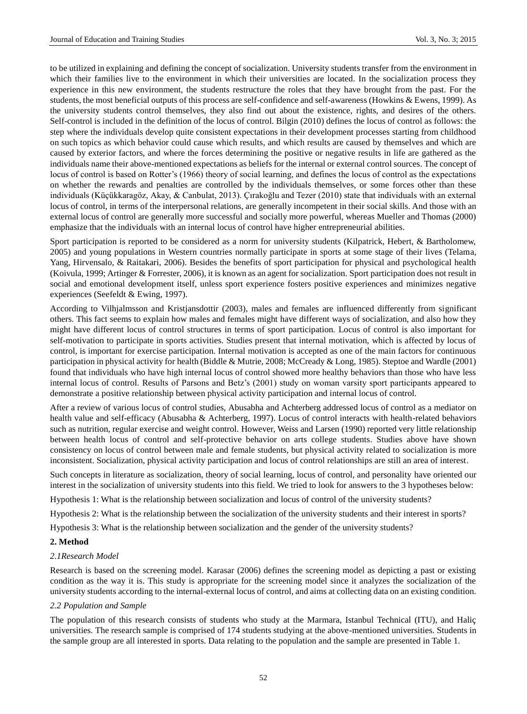to be utilized in explaining and defining the concept of socialization. University students transfer from the environment in which their families live to the environment in which their universities are located. In the socialization process they experience in this new environment, the students restructure the roles that they have brought from the past. For the students, the most beneficial outputs of this process are self-confidence and self-awareness (Howkins & Ewens, 1999). As the university students control themselves, they also find out about the existence, rights, and desires of the others. Self-control is included in the definition of the locus of control. Bilgin (2010) defines the locus of control as follows: the step where the individuals develop quite consistent expectations in their development processes starting from childhood on such topics as which behavior could cause which results, and which results are caused by themselves and which are caused by exterior factors, and where the forces determining the positive or negative results in life are gathered as the individuals name their above-mentioned expectations as beliefs for the internal or external control sources. The concept of locus of control is based on Rotter's (1966) theory of social learning, and defines the locus of control as the expectations on whether the rewards and penalties are controlled by the individuals themselves, or some forces other than these individuals (Küçükkaragöz, Akay, & Canbulat, 2013). Çırakoğlu and Tezer (2010) state that individuals with an external locus of control, in terms of the interpersonal relations, are generally incompetent in their social skills. And those with an external locus of control are generally more successful and socially more powerful, whereas Mueller and Thomas (2000) emphasize that the individuals with an internal locus of control have higher entrepreneurial abilities.

Sport participation is reported to be considered as a norm for university students (Kilpatrick, Hebert, & Bartholomew, 2005) and young populations in Western countries normally participate in sports at some stage of their lives (Telama, Yang, Hirvensalo, & Raitakari, 2006). Besides the benefits of sport participation for physical and psychological health (Koivula, 1999; Artinger & Forrester, 2006), it is known as an agent for socialization. Sport participation does not result in social and emotional development itself, unless sport experience fosters positive experiences and minimizes negative experiences (Seefeldt & Ewing, 1997).

According to Vilhjalmsson and Kristjansdottir (2003), males and females are influenced differently from significant others. This fact seems to explain how males and females might have different ways of socialization, and also how they might have different locus of control structures in terms of sport participation. Locus of control is also important for self-motivation to participate in sports activities. Studies present that internal motivation, which is affected by locus of control, is important for exercise participation. Internal motivation is accepted as one of the main factors for continuous participation in physical activity for health (Biddle & Mutrie, 2008; McCready & Long, 1985). Steptoe and Wardle (2001) found that individuals who have high internal locus of control showed more healthy behaviors than those who have less internal locus of control. Results of Parsons and Betz's (2001) study on woman varsity sport participants appeared to demonstrate a positive relationship between physical activity participation and internal locus of control.

After a review of various locus of control studies, Abusabha and Achterberg addressed locus of control as a mediator on health value and self-efficacy (Abusabha & Achterberg, 1997). Locus of control interacts with health-related behaviors such as nutrition, regular exercise and weight control. However, Weiss and Larsen (1990) reported very little relationship between health locus of control and self-protective behavior on arts college students. Studies above have shown consistency on locus of control between male and female students, but physical activity related to socialization is more inconsistent. Socialization, physical activity participation and locus of control relationships are still an area of interest.

Such concepts in literature as socialization, theory of social learning, locus of control, and personality have oriented our interest in the socialization of university students into this field. We tried to look for answers to the 3 hypotheses below:

Hypothesis 1: What is the relationship between socialization and locus of control of the university students?

Hypothesis 2: What is the relationship between the socialization of the university students and their interest in sports?

Hypothesis 3: What is the relationship between socialization and the gender of the university students?

## **2. Method**

## *2.1Research Model*

Research is based on the screening model. Karasar (2006) defines the screening model as depicting a past or existing condition as the way it is. This study is appropriate for the screening model since it analyzes the socialization of the university students according to the internal-external locus of control, and aims at collecting data on an existing condition.

#### *2.2 Population and Sample*

The population of this research consists of students who study at the Marmara, Istanbul Technical (ITU), and Haliç universities. The research sample is comprised of 174 students studying at the above-mentioned universities. Students in the sample group are all interested in sports. Data relating to the population and the sample are presented in Table 1.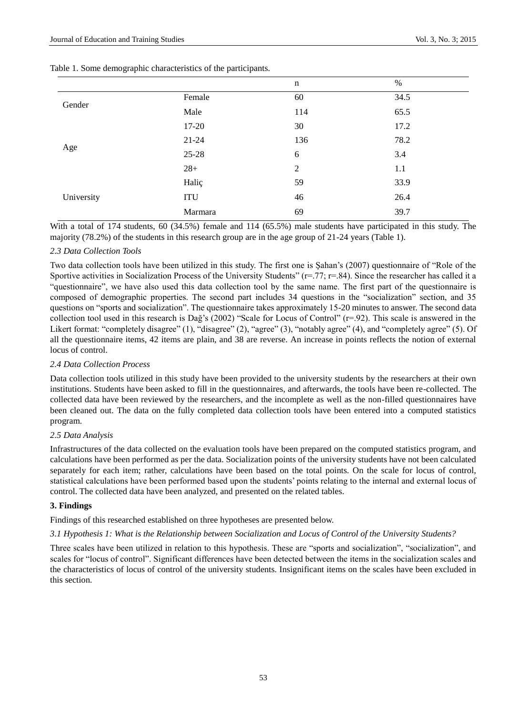|            |            | $\mathbf n$    | $\%$ |
|------------|------------|----------------|------|
| Gender     | Female     | 60             | 34.5 |
|            | Male       | 114            | 65.5 |
| Age        | 17-20      | 30             | 17.2 |
|            | $21 - 24$  | 136            | 78.2 |
|            | 25-28      | 6              | 3.4  |
|            | $28+$      | $\overline{2}$ | 1.1  |
| University | Hali ç     | 59             | 33.9 |
|            | <b>ITU</b> | 46             | 26.4 |
|            | Marmara    | 69             | 39.7 |

Table 1. Some demographic characteristics of the participants.

With a total of 174 students, 60 (34.5%) female and 114 (65.5%) male students have participated in this study. The majority (78.2%) of the students in this research group are in the age group of 21-24 years (Table 1).

## *2.3 Data Collection Tools*

Two data collection tools have been utilized in this study. The first one is Şahan's (2007) questionnaire of "Role of the Sportive activities in Socialization Process of the University Students" ( $r=77$ ;  $r=84$ ). Since the researcher has called it a "questionnaire", we have also used this data collection tool by the same name. The first part of the questionnaire is composed of demographic properties. The second part includes 34 questions in the "socialization" section, and 35 questions on "sports and socialization". The questionnaire takes approximately 15-20 minutes to answer. The second data collection tool used in this research is Dağ's (2002) "Scale for Locus of Control" ( $r=92$ ). This scale is answered in the Likert format: "completely disagree" (1), "disagree" (2), "agree" (3), "notably agree" (4), and "completely agree" (5). Of all the questionnaire items, 42 items are plain, and 38 are reverse. An increase in points reflects the notion of external locus of control.

## *2.4 Data Collection Process*

Data collection tools utilized in this study have been provided to the university students by the researchers at their own institutions. Students have been asked to fill in the questionnaires, and afterwards, the tools have been re-collected. The collected data have been reviewed by the researchers, and the incomplete as well as the non-filled questionnaires have been cleaned out. The data on the fully completed data collection tools have been entered into a computed statistics program.

#### *2.5 Data Analysis*

Infrastructures of the data collected on the evaluation tools have been prepared on the computed statistics program, and calculations have been performed as per the data. Socialization points of the university students have not been calculated separately for each item; rather, calculations have been based on the total points. On the scale for locus of control, statistical calculations have been performed based upon the students' points relating to the internal and external locus of control. The collected data have been analyzed, and presented on the related tables.

#### **3. Findings**

Findings of this researched established on three hypotheses are presented below.

*3.1 Hypothesis 1: What is the Relationship between Socialization and Locus of Control of the University Students?*

Three scales have been utilized in relation to this hypothesis. These are "sports and socialization", "socialization", and scales for "locus of control". Significant differences have been detected between the items in the socialization scales and the characteristics of locus of control of the university students. Insignificant items on the scales have been excluded in this section.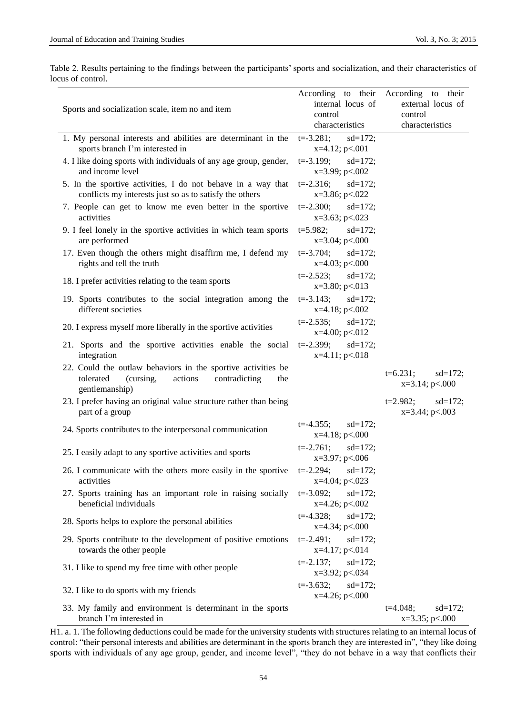|                   | Table 2. Results pertaining to the findings between the participants' sports and socialization, and their characteristics of |  |  |  |  |
|-------------------|------------------------------------------------------------------------------------------------------------------------------|--|--|--|--|
| locus of control. |                                                                                                                              |  |  |  |  |

|                                                                             | According to their               | According to their         |  |
|-----------------------------------------------------------------------------|----------------------------------|----------------------------|--|
| Sports and socialization scale, item no and item                            | internal locus of                | external locus of          |  |
|                                                                             | control                          | control                    |  |
|                                                                             | characteristics                  | characteristics            |  |
| 1. My personal interests and abilities are determinant in the               | $t = -3.281$ ;<br>$sd=172;$      |                            |  |
| sports branch I'm interested in                                             | $x=4.12$ ; $p<.001$              |                            |  |
| 4. I like doing sports with individuals of any age group, gender,           | $t = -3.199;$<br>$sd=172;$       |                            |  |
| and income level                                                            | $x=3.99; p<.002$                 |                            |  |
| 5. In the sportive activities, I do not behave in a way that                | $t = -2.316$ ;<br>$sd=172$ ;     |                            |  |
| conflicts my interests just so as to satisfy the others                     | $x=3.86; p<.022$                 |                            |  |
| 7. People can get to know me even better in the sportive                    | $t = -2.300$ ;<br>$sd=172;$      |                            |  |
| activities                                                                  | $x=3.63; p<.023$                 |                            |  |
| 9. I feel lonely in the sportive activities in which team sports            | $t=5.982$ ; $sd=172$ ;           |                            |  |
| are performed                                                               | $x=3.04$ ; $p<.000$              |                            |  |
| 17. Even though the others might disaffirm me, I defend my                  | $t = -3.704$ ; $sd = 172$ ;      |                            |  |
| rights and tell the truth                                                   | $x=4.03$ ; $p<.000$              |                            |  |
|                                                                             | $t = -2.523$ ;<br>$sd=172;$      |                            |  |
| 18. I prefer activities relating to the team sports                         | $x=3.80; p<.013$                 |                            |  |
| 19. Sports contributes to the social integration among the                  | $t = -3.143$ ;<br>$sd=172;$      |                            |  |
| different societies                                                         | $x=4.18$ ; p $< 0.002$           |                            |  |
|                                                                             | $t = -2.535;$<br>$sd=172;$       |                            |  |
| 20. I express myself more liberally in the sportive activities              | $x=4.00; p<.012$                 |                            |  |
| 21. Sports and the sportive activities enable the social                    | $t = -2.399;$<br>$sd=172;$       |                            |  |
| integration                                                                 | $x=4.11$ ; $p<.018$              |                            |  |
| 22. Could the outlaw behaviors in the sportive activities be                |                                  |                            |  |
| tolerated<br>(cursing,<br>actions<br>contradicting<br>the                   |                                  | $t=6.231;$<br>$sd=172;$    |  |
| gentlemanship)                                                              |                                  | $x=3.14$ ; $p<.000$        |  |
| 23. I prefer having an original value structure rather than being           |                                  | $t = 2.982$ ;<br>$sd=172;$ |  |
| part of a group                                                             |                                  | $x=3.44$ ; $p<.003$        |  |
|                                                                             | $t = -4.355$ ;                   |                            |  |
| 24. Sports contributes to the interpersonal communication                   | $sd=172;$<br>$x=4.18$ ; $p<.000$ |                            |  |
|                                                                             | $t = -2.761;$<br>$sd=172;$       |                            |  |
| 25. I easily adapt to any sportive activities and sports                    | x=3.97; p<.006                   |                            |  |
|                                                                             |                                  |                            |  |
| 26. I communicate with the others more easily in the sportive<br>activities | $t = -2.294$ ;<br>$sd=172;$      |                            |  |
|                                                                             | x=4.04; p<.023                   |                            |  |
| 27. Sports training has an important role in raising socially               | $t = -3.092;$<br>$sd=172$ ;      |                            |  |
| beneficial individuals                                                      | $x=4.26$ ; $p<.002$              |                            |  |
| 28. Sports helps to explore the personal abilities                          | $t = -4.328$ ;<br>$sd=172;$      |                            |  |
|                                                                             | $x=4.34$ ; $p<.000$              |                            |  |
| 29. Sports contribute to the development of positive emotions               | $t = -2.491;$<br>$sd=172;$       |                            |  |
| towards the other people                                                    | $x=4.17$ ; $p<.014$              |                            |  |
| 31. I like to spend my free time with other people                          | $t = -2.137;$<br>$sd=172;$       |                            |  |
|                                                                             | $x=3.92$ ; $p<.034$              |                            |  |
| 32. I like to do sports with my friends                                     | $t = -3.632;$<br>$sd=172;$       |                            |  |
|                                                                             | $x=4.26$ ; $p<.000$              |                            |  |
| 33. My family and environment is determinant in the sports                  |                                  | $t=4.048;$<br>$sd=172;$    |  |
| branch I'm interested in                                                    |                                  | $x=3.35$ ; p $<000$        |  |

H1. a. 1. The following deductions could be made for the university students with structures relating to an internal locus of control: "their personal interests and abilities are determinant in the sports branch they are interested in", "they like doing sports with individuals of any age group, gender, and income level", "they do not behave in a way that conflicts their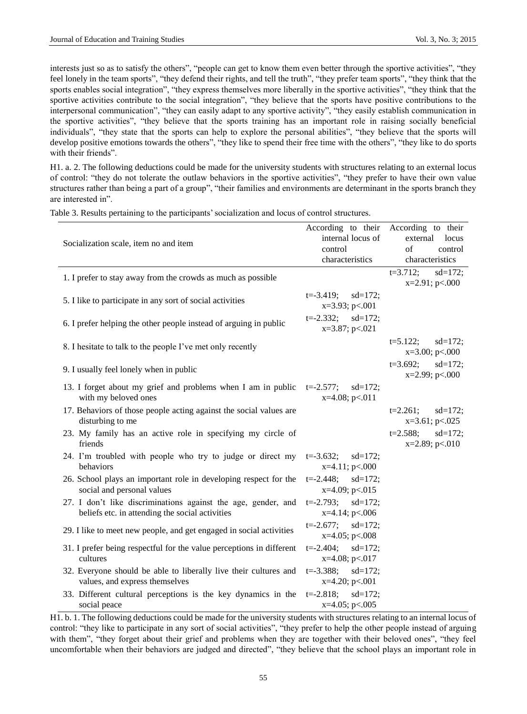interests just so as to satisfy the others", "people can get to know them even better through the sportive activities", "they feel lonely in the team sports", "they defend their rights, and tell the truth", "they prefer team sports", "they think that the sports enables social integration", "they express themselves more liberally in the sportive activities", "they think that the sportive activities contribute to the social integration", "they believe that the sports have positive contributions to the interpersonal communication", "they can easily adapt to any sportive activity", "they easily establish communication in the sportive activities", "they believe that the sports training has an important role in raising socially beneficial individuals", "they state that the sports can help to explore the personal abilities", "they believe that the sports will develop positive emotions towards the others", "they like to spend their free time with the others", "they like to do sports with their friends".

H1. a. 2. The following deductions could be made for the university students with structures relating to an external locus of control: "they do not tolerate the outlaw behaviors in the sportive activities", "they prefer to have their own value structures rather than being a part of a group", "their families and environments are determinant in the sports branch they are interested in".

|                                                                                                                  | According to their                                 | According to their                             |
|------------------------------------------------------------------------------------------------------------------|----------------------------------------------------|------------------------------------------------|
| Socialization scale, item no and item                                                                            | internal locus of<br>control                       | external<br>locus<br>$\sigma$ f<br>control     |
|                                                                                                                  | characteristics                                    | characteristics                                |
|                                                                                                                  |                                                    | $sd=172;$<br>$t=3.712;$                        |
| 1. I prefer to stay away from the crowds as much as possible                                                     |                                                    | $x=2.91; p<.000$                               |
| 5. I like to participate in any sort of social activities                                                        | $t = -3.419;$<br>$sd=172;$<br>$x=3.93; p<.001$     |                                                |
| 6. I prefer helping the other people instead of arguing in public                                                | $t = -2.332;$<br>$sd=172;$<br>$x=3.87; p<.021$     |                                                |
| 8. I hesitate to talk to the people I've met only recently                                                       |                                                    | $t = 5.122$ ;<br>$sd=172;$<br>$x=3.00; p<.000$ |
| 9. I usually feel lonely when in public                                                                          |                                                    | $t=3.692;$<br>$sd=172;$<br>x=2.99; p<.000      |
| 13. I forget about my grief and problems when I am in public<br>with my beloved ones                             | $t = -2.577;$<br>$sd=172$ ;<br>$x=4.08$ ; $p<.011$ |                                                |
| 17. Behaviors of those people acting against the social values are<br>disturbing to me                           |                                                    | $t=2.261;$<br>$sd=172;$<br>$x=3.61; p<.025$    |
| 23. My family has an active role in specifying my circle of<br>friends                                           |                                                    | $t = 2.588;$<br>$sd=172;$<br>$x=2.89; p<.010$  |
| 24. I'm troubled with people who try to judge or direct my<br>behaviors                                          | $t = -3.632;$<br>$sd=172;$<br>x=4.11; p<.000       |                                                |
| 26. School plays an important role in developing respect for the<br>social and personal values                   | $t = -2.448;$<br>$sd=172;$<br>$x=4.09; p<.015$     |                                                |
| 27. I don't like discriminations against the age, gender, and<br>beliefs etc. in attending the social activities | $t = -2.793;$<br>$sd=172$ ;<br>$x=4.14$ ; $p<.006$ |                                                |
| 29. I like to meet new people, and get engaged in social activities                                              | $t = -2.677;$<br>$sd=172;$<br>$x=4.05$ ; p<.008    |                                                |
| 31. I prefer being respectful for the value perceptions in different<br>cultures                                 | $t = -2.404$ ;<br>$sd=172;$<br>$x=4.08$ ; $p<.017$ |                                                |
| 32. Everyone should be able to liberally live their cultures and<br>values, and express themselves               | $sd=172;$<br>$t = -3.388$ ;<br>$x=4.20; p<.001$    |                                                |
| 33. Different cultural perceptions is the key dynamics in the<br>social peace                                    | $t = -2.818$ ;<br>$sd=172;$<br>$x=4.05$ ; $p<.005$ |                                                |

Table 3. Results pertaining to the participants' socialization and locus of control structures.

H1. b. 1. The following deductions could be made for the university students with structures relating to an internal locus of control: "they like to participate in any sort of social activities", "they prefer to help the other people instead of arguing with them", "they forget about their grief and problems when they are together with their beloved ones", "they feel uncomfortable when their behaviors are judged and directed", "they believe that the school plays an important role in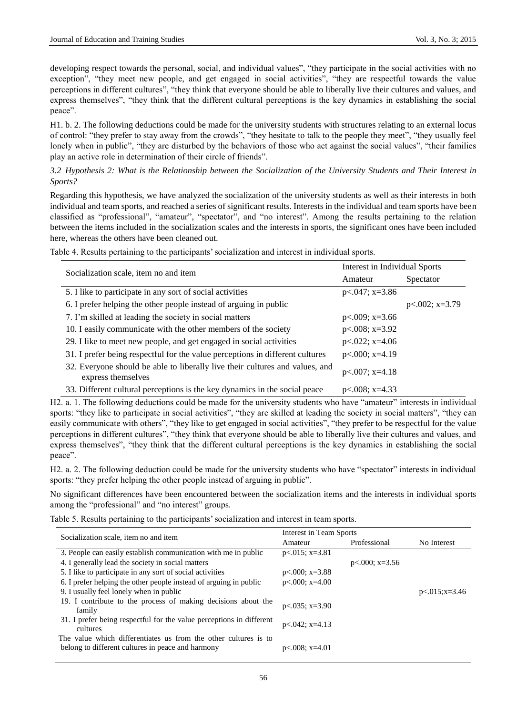developing respect towards the personal, social, and individual values", "they participate in the social activities with no exception", "they meet new people, and get engaged in social activities", "they are respectful towards the value perceptions in different cultures", "they think that everyone should be able to liberally live their cultures and values, and express themselves", "they think that the different cultural perceptions is the key dynamics in establishing the social peace".

H1. b. 2. The following deductions could be made for the university students with structures relating to an external locus of control: "they prefer to stay away from the crowds", "they hesitate to talk to the people they meet", "they usually feel lonely when in public", "they are disturbed by the behaviors of those who act against the social values", "their families play an active role in determination of their circle of friends".

# *3.2 Hypothesis 2: What is the Relationship between the Socialization of the University Students and Their Interest in Sports?*

Regarding this hypothesis, we have analyzed the socialization of the university students as well as their interests in both individual and team sports, and reached a series of significant results. Interests in the individual and team sports have been classified as "professional", "amateur", "spectator", and "no interest". Among the results pertaining to the relation between the items included in the socialization scales and the interests in sports, the significant ones have been included here, whereas the others have been cleaned out.

|                                                                                                    | Interest in Individual Sports |                   |
|----------------------------------------------------------------------------------------------------|-------------------------------|-------------------|
| Socialization scale, item no and item                                                              | Amateur                       | Spectator         |
| 5. I like to participate in any sort of social activities                                          | $p<.047$ ; x=3.86             |                   |
| 6. I prefer helping the other people instead of arguing in public                                  |                               | $p<.002$ ; x=3.79 |
| 7. I'm skilled at leading the society in social matters                                            | $p<.009$ ; x=3.66             |                   |
| 10. I easily communicate with the other members of the society                                     | $p<.008$ ; x=3.92             |                   |
| 29. I like to meet new people, and get engaged in social activities                                | $p<.022$ ; x=4.06             |                   |
| 31. I prefer being respectful for the value perceptions in different cultures                      | $p<.000$ ; x=4.19             |                   |
| 32. Everyone should be able to liberally live their cultures and values, and<br>express themselves | $p<.007$ ; x=4.18             |                   |
| 33. Different cultural perceptions is the key dynamics in the social peace                         | $p<.008$ : x=4.33             |                   |

Table 4. Results pertaining to the participants' socialization and interest in individual sports.

H2. a. 1. The following deductions could be made for the university students who have "amateur" interests in individual sports: "they like to participate in social activities", "they are skilled at leading the society in social matters", "they can easily communicate with others", "they like to get engaged in social activities", "they prefer to be respectful for the value perceptions in different cultures", "they think that everyone should be able to liberally live their cultures and values, and express themselves", "they think that the different cultural perceptions is the key dynamics in establishing the social peace".

H2. a. 2. The following deduction could be made for the university students who have "spectator" interests in individual sports: "they prefer helping the other people instead of arguing in public".

No significant differences have been encountered between the socialization items and the interests in individual sports among the "professional" and "no interest" groups.

Table 5. Results pertaining to the participants' socialization and interest in team sports.

| Socialization scale, item no and item                                                                                | Interest in Team Sports |                   |                     |
|----------------------------------------------------------------------------------------------------------------------|-------------------------|-------------------|---------------------|
|                                                                                                                      | Amateur                 | Professional      | No Interest         |
| 3. People can easily establish communication with me in public                                                       | $p<0.015$ ; x=3.81      |                   |                     |
| 4. I generally lead the society in social matters                                                                    |                         | $p<.000$ ; x=3.56 |                     |
| 5. I like to participate in any sort of social activities                                                            | $p<.000$ ; x=3.88       |                   |                     |
| 6. I prefer helping the other people instead of arguing in public                                                    | $p<.000$ ; x=4.00       |                   |                     |
| 9. I usually feel lonely when in public                                                                              |                         |                   | $p < 015; x = 3.46$ |
| 19. I contribute to the process of making decisions about the<br>family                                              | $p<.035$ ; x=3.90       |                   |                     |
| 31. I prefer being respectful for the value perceptions in different<br>cultures                                     | $p<0.042$ ; x=4.13      |                   |                     |
| The value which differentiates us from the other cultures is to<br>belong to different cultures in peace and harmony | $p<.008$ ; x=4.01       |                   |                     |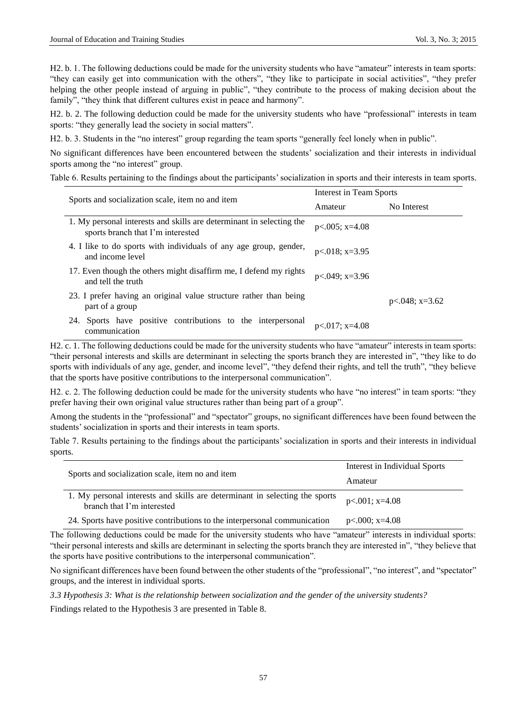H2. b. 1. The following deductions could be made for the university students who have "amateur" interests in team sports: "they can easily get into communication with the others", "they like to participate in social activities", "they prefer helping the other people instead of arguing in public", "they contribute to the process of making decision about the family", "they think that different cultures exist in peace and harmony".

H2. b. 2. The following deduction could be made for the university students who have "professional" interests in team sports: "they generally lead the society in social matters".

H2. b. 3. Students in the "no interest" group regarding the team sports "generally feel lonely when in public".

No significant differences have been encountered between the students' socialization and their interests in individual sports among the "no interest" group.

Table 6. Results pertaining to the findings about the participants' socialization in sports and their interests in team sports.

| Sports and socialization scale, item no and item                                                          | Interest in Team Sports |                    |  |
|-----------------------------------------------------------------------------------------------------------|-------------------------|--------------------|--|
|                                                                                                           | Amateur                 | No Interest        |  |
| 1. My personal interests and skills are determinant in selecting the<br>sports branch that I'm interested | $p<.005$ ; x=4.08       |                    |  |
| 4. I like to do sports with individuals of any age group, gender,<br>and income level                     | $p<.018$ ; x=3.95       |                    |  |
| 17. Even though the others might disaffirm me, I defend my rights<br>and tell the truth                   | $p<0.049$ ; x=3.96      |                    |  |
| 23. I prefer having an original value structure rather than being<br>part of a group                      |                         | $p<0.048$ ; x=3.62 |  |
| Sports have positive contributions to the interpersonal<br>24.<br>communication                           | $p<.017$ ; x=4.08       |                    |  |

H2. c. 1. The following deductions could be made for the university students who have "amateur" interests in team sports: "their personal interests and skills are determinant in selecting the sports branch they are interested in", "they like to do sports with individuals of any age, gender, and income level", "they defend their rights, and tell the truth", "they believe that the sports have positive contributions to the interpersonal communication".

H2. c. 2. The following deduction could be made for the university students who have "no interest" in team sports: "they prefer having their own original value structures rather than being part of a group".

Among the students in the "professional" and "spectator" groups, no significant differences have been found between the students' socialization in sports and their interests in team sports.

Table 7. Results pertaining to the findings about the participants' socialization in sports and their interests in individual sports.

|                                                                                                           | Interest in Individual Sports |  |
|-----------------------------------------------------------------------------------------------------------|-------------------------------|--|
| Sports and socialization scale, item no and item                                                          | Amateur                       |  |
| 1. My personal interests and skills are determinant in selecting the sports<br>branch that I'm interested | $p<.001$ ; x=4.08             |  |
| 24. Sports have positive contributions to the interpersonal communication                                 | $p<.000$ ; x=4.08             |  |

The following deductions could be made for the university students who have "amateur" interests in individual sports: "their personal interests and skills are determinant in selecting the sports branch they are interested in", "they believe that the sports have positive contributions to the interpersonal communication".

No significant differences have been found between the other students of the "professional", "no interest", and "spectator" groups, and the interest in individual sports.

*3.3 Hypothesis 3: What is the relationship between socialization and the gender of the university students?*

Findings related to the Hypothesis 3 are presented in Table 8.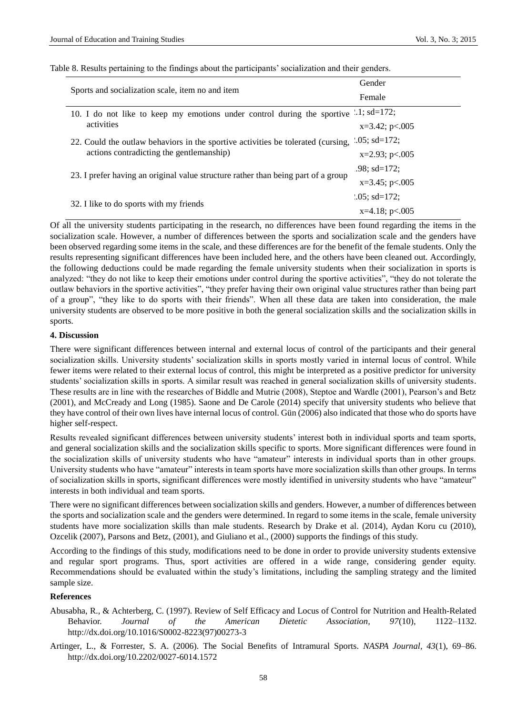|                                                                                        | Gender              |
|----------------------------------------------------------------------------------------|---------------------|
| Sports and socialization scale, item no and item                                       | Female              |
| 10. I do not like to keep my emotions under control during the sportive $.1$ ; sd=172; |                     |
| activities                                                                             | $x=3.42$ ; $p<.005$ |
| 22. Could the outlaw behaviors in the sportive activities be tolerated (cursing,       | $.05$ ; sd=172;     |
| actions contradicting the gentlemanship)                                               | $x=2.93$ ; $p<.005$ |
|                                                                                        | .98: $sd=172$ :     |
| 23. I prefer having an original value structure rather than being part of a group      | $x=3.45$ ; $p<.005$ |
|                                                                                        | $.05$ ; sd=172;     |
| 32. I like to do sports with my friends                                                | $x=4.18$ ; p<.005   |

Table 8. Results pertaining to the findings about the participants' socialization and their genders.

Of all the university students participating in the research, no differences have been found regarding the items in the socialization scale. However, a number of differences between the sports and socialization scale and the genders have been observed regarding some items in the scale, and these differences are for the benefit of the female students. Only the results representing significant differences have been included here, and the others have been cleaned out. Accordingly, the following deductions could be made regarding the female university students when their socialization in sports is analyzed: "they do not like to keep their emotions under control during the sportive activities", "they do not tolerate the outlaw behaviors in the sportive activities", "they prefer having their own original value structures rather than being part of a group", "they like to do sports with their friends". When all these data are taken into consideration, the male university students are observed to be more positive in both the general socialization skills and the socialization skills in sports.

#### **4. Discussion**

There were significant differences between internal and external locus of control of the participants and their general socialization skills. University students' socialization skills in sports mostly varied in internal locus of control. While fewer items were related to their external locus of control, this might be interpreted as a positive predictor for university students' socialization skills in sports. A similar result was reached in general socialization skills of university students. These results are in line with the researches of Biddle and Mutrie (2008), Steptoe and Wardle (2001), Pearson's and Betz (2001), and McCready and Long (1985). Saone and De Carole (2014) specify that university students who believe that they have control of their own lives have internal locus of control. Gün (2006) also indicated that those who do sports have higher self-respect.

Results revealed significant differences between university students' interest both in individual sports and team sports, and general socialization skills and the socialization skills specific to sports. More significant differences were found in the socialization skills of university students who have "amateur" interests in individual sports than in other groups. University students who have "amateur" interests in team sports have more socialization skills than other groups. In terms of socialization skills in sports, significant differences were mostly identified in university students who have "amateur" interests in both individual and team sports.

There were no significant differences between socialization skills and genders. However, a number of differences between the sports and socialization scale and the genders were determined. In regard to some items in the scale, female university students have more socialization skills than male students. Research by Drake et al. (2014), Aydan Koru cu (2010), Ozcelik (2007), Parsons and Betz, (2001), and Giuliano et al., (2000) supports the findings of this study.

According to the findings of this study, modifications need to be done in order to provide university students extensive and regular sport programs. Thus, sport activities are offered in a wide range, considering gender equity. Recommendations should be evaluated within the study's limitations, including the sampling strategy and the limited sample size.

### **References**

- Abusabha, R., & Achterberg, C. (1997). Review of Self Efficacy and Locus of Control for Nutrition and Health-Related Behavior. *Journal of the American Dietetic Association, 97*(10), 1122–1132. http://dx.doi.org/10.1016/S0002-8223(97)00273-3
- Artinger, L., & Forrester, S. A. (2006). The Social Benefits of Intramural Sports. *NASPA Journal, 43*(1), 69–86. http://dx.doi.org/10.2202/0027-6014.1572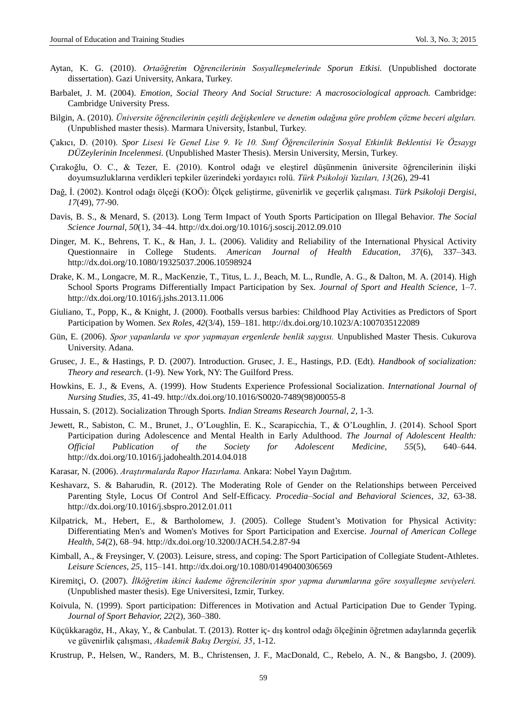- Aytan, K. G. (2010). *Ortaöğretim Oğrencilerinin Sosyalleşmelerinde Sporun Etkisi.* (Unpublished doctorate dissertation). Gazi University, Ankara, Turkey.
- Barbalet, J. M. (2004). *Emotion, Social Theory And Social Structure: A macrosociological approach.* Cambridge: Cambridge University Press.
- Bilgin, A. (2010). *Üniversite öğrencilerinin çeşitli değişkenlere ve denetim odağına göre problem çözme beceri algıları.* (Unpublished master thesis). Marmara University, İstanbul, Turkey.
- Çakıcı, D. (2010). *Spor Lisesi Ve Genel Lise 9. Ve 10. Sınıf Öğrencilerinin Sosyal Etkinlik Beklentisi Ve Özsaygı DÜZeylerinin Incelenmesi.* (Unpublished Master Thesis). Mersin University, Mersin, Turkey.
- Çırakoğlu, O. C., & Tezer, E. (2010). Kontrol odağı ve eleştirel düşünmenin üniversite öğrencilerinin ilişki doyumsuzluklarına verdikleri tepkiler üzerindeki yordayıcı rolü. *Türk Psikoloji Yazıları, 13*(26), 29-41
- Dağ, İ. (2002). Kontrol odağı ölçeği (KOÖ): Ölçek geliştirme, güvenirlik ve geçerlik çalışması. *Türk Psikoloji Dergisi, 17*(49), 77-90.
- Davis, B. S., & Menard, S. (2013). Long Term Impact of Youth Sports Participation on Illegal Behavior. *The Social Science Journal, 50*(1), 34–44. http://dx.doi.org/10.1016/j.soscij.2012.09.010
- Dinger, M. K., Behrens, T. K., & Han, J. L. (2006). Validity and Reliability of the International Physical Activity Questionnaire in College Students. *American Journal of Health Education, 37*(6), 337–343. http://dx.doi.org/10.1080/19325037.2006.10598924
- Drake, K. M., Longacre, M. R., MacKenzie, T., Titus, L. J., Beach, M. L., Rundle, A. G., & Dalton, M. A. (2014). High School Sports Programs Differentially Impact Participation by Sex. *Journal of Sport and Health Science,* 1–7. http://dx.doi.org/10.1016/j.jshs.2013.11.006
- Giuliano, T., Popp, K., & Knight, J. (2000). Footballs versus barbies: Childhood Play Activities as Predictors of Sport Participation by Women. *Sex Roles, 42*(3/4), 159–181. http://dx.doi.org/10.1023/A:1007035122089
- Gün, E. (2006). *Spor yapanlarda ve spor yapmayan ergenlerde benlik saygısı.* Unpublished Master Thesis. Cukurova University. Adana.
- Grusec, J. E., & Hastings, P. D. (2007). Introduction. Grusec, J. E., Hastings, P.D. (Edt). *Handbook of socialization: Theory and research*. (1-9). New York, NY: The Guilford Press.
- Howkins, E. J., & Evens, A. (1999). How Students Experience Professional Socialization. *International Journal of Nursing Studies, 35,* 41-49. http://dx.doi.org/10.1016/S0020-7489(98)00055-8
- Hussain, S. (2012). Socialization Through Sports. *Indian Streams Research Journal, 2*, 1-3.
- Jewett, R., Sabiston, C. M., Brunet, J., O'Loughlin, E. K., Scarapicchia, T., & O'Loughlin, J. (2014). School Sport Participation during Adolescence and Mental Health in Early Adulthood. *The Journal of Adolescent Health: Official Publication of the Society for Adolescent Medicine, 55*(5), 640–644. http://dx.doi.org/10.1016/j.jadohealth.2014.04.018
- Karasar, N. (2006). *Araştırmalarda Rapor Hazırlama.* Ankara: Nobel Yayın Dağıtım.
- Keshavarz, S. & Baharudin, R. (2012). The Moderating Role of Gender on the Relationships between Perceived Parenting Style, Locus Of Control And Self-Efficacy. *Procedia–Social and Behavioral Sciences*, *32*, 63-38. http://dx.doi.org/10.1016/j.sbspro.2012.01.011
- Kilpatrick, M., Hebert, E., & Bartholomew, J. (2005). College Student's Motivation for Physical Activity: Differentiating Men's and Women's Motives for Sport Participation and Exercise. *Journal of American College Health, 54*(2), 68–94. http://dx.doi.org/10.3200/JACH.54.2.87-94
- Kimball, A., & Freysinger, V. (2003). Leisure, stress, and coping: The Sport Participation of Collegiate Student-Athletes. *Leisure Sciences, 25,* 115–141. http://dx.doi.org/10.1080/01490400306569
- Kiremitçi, O. (2007). *İlköğretim ikinci kademe öğrencilerinin spor yapma durumlarına göre sosyalleşme seviyeleri.* (Unpublished master thesis). Ege Universitesi, Izmir, Turkey.
- Koivula, N. (1999). Sport participation: Differences in Motivation and Actual Participation Due to Gender Typing. *Journal of Sport Behavior, 22*(2), 360–380.
- Küçükkaragöz, H., Akay, Y., & Canbulat. T. (2013). Rotter iç- dış kontrol odağı ölçeğinin öğretmen adaylarında geçerlik ve güvenirlik çalışması, *Akademik Bakış Dergisi, 35*, 1-12.
- Krustrup, P., Helsen, W., Randers, M. B., Christensen, J. F., MacDonald, C., Rebelo, A. N., & Bangsbo, J. (2009).